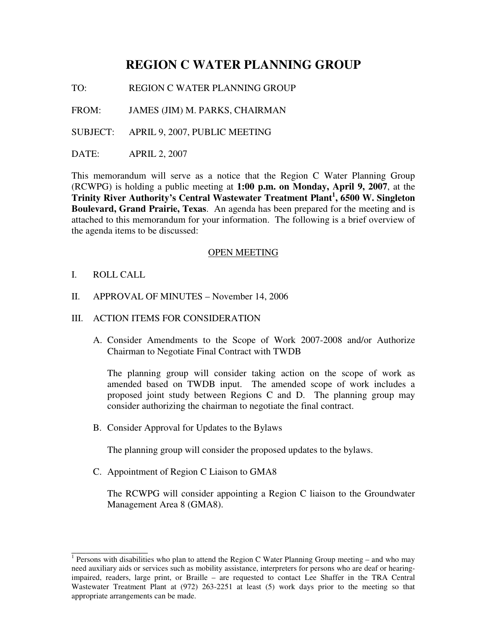# **REGION C WATER PLANNING GROUP**

TO: REGION C WATER PLANNING GROUP

FROM: JAMES (JIM) M. PARKS, CHAIRMAN

SUBJECT: APRIL 9, 2007, PUBLIC MEETING

DATE: APRIL 2, 2007

This memorandum will serve as a notice that the Region C Water Planning Group (RCWPG) is holding a public meeting at **1:00 p.m. on Monday, April 9, 2007**, at the **Trinity River Authority's Central Wastewater Treatment Plant 1 , 6500 W. Singleton Boulevard, Grand Prairie, Texas**. An agenda has been prepared for the meeting and is attached to this memorandum for your information. The following is a brief overview of the agenda items to be discussed:

### OPEN MEETING

I. ROLL CALL

\_\_\_\_\_\_\_\_\_\_\_\_\_\_\_\_

- II. APPROVAL OF MINUTES November 14, 2006
- III. ACTION ITEMS FOR CONSIDERATION
	- A. Consider Amendments to the Scope of Work 2007-2008 and/or Authorize Chairman to Negotiate Final Contract with TWDB

The planning group will consider taking action on the scope of work as amended based on TWDB input. The amended scope of work includes a proposed joint study between Regions C and D. The planning group may consider authorizing the chairman to negotiate the final contract.

B. Consider Approval for Updates to the Bylaws

The planning group will consider the proposed updates to the bylaws.

C. Appointment of Region C Liaison to GMA8

The RCWPG will consider appointing a Region C liaison to the Groundwater Management Area 8 (GMA8).

<sup>&</sup>lt;sup>1</sup> Persons with disabilities who plan to attend the Region C Water Planning Group meeting – and who may need auxiliary aids or services such as mobility assistance, interpreters for persons who are deaf or hearingimpaired, readers, large print, or Braille – are requested to contact Lee Shaffer in the TRA Central Wastewater Treatment Plant at (972) 263-2251 at least (5) work days prior to the meeting so that appropriate arrangements can be made.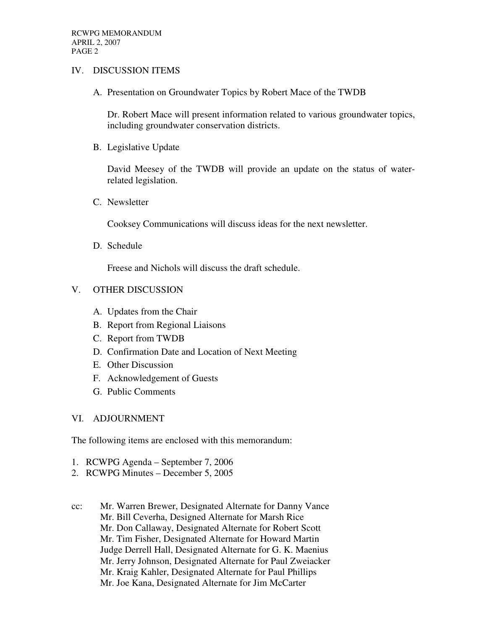## IV. DISCUSSION ITEMS

A. Presentation on Groundwater Topics by Robert Mace of the TWDB

Dr. Robert Mace will present information related to various groundwater topics, including groundwater conservation districts.

B. Legislative Update

David Meesey of the TWDB will provide an update on the status of waterrelated legislation.

C. Newsletter

Cooksey Communications will discuss ideas for the next newsletter.

D. Schedule

Freese and Nichols will discuss the draft schedule.

## V. OTHER DISCUSSION

- A. Updates from the Chair
- B. Report from Regional Liaisons
- C. Report from TWDB
- D. Confirmation Date and Location of Next Meeting
- E. Other Discussion
- F. Acknowledgement of Guests
- G. Public Comments

### VI. ADJOURNMENT

The following items are enclosed with this memorandum:

- 1. RCWPG Agenda September 7, 2006
- 2. RCWPG Minutes December 5, 2005
- cc: Mr. Warren Brewer, Designated Alternate for Danny Vance Mr. Bill Ceverha, Designed Alternate for Marsh Rice Mr. Don Callaway, Designated Alternate for Robert Scott Mr. Tim Fisher, Designated Alternate for Howard Martin Judge Derrell Hall, Designated Alternate for G. K. Maenius Mr. Jerry Johnson, Designated Alternate for Paul Zweiacker Mr. Kraig Kahler, Designated Alternate for Paul Phillips Mr. Joe Kana, Designated Alternate for Jim McCarter